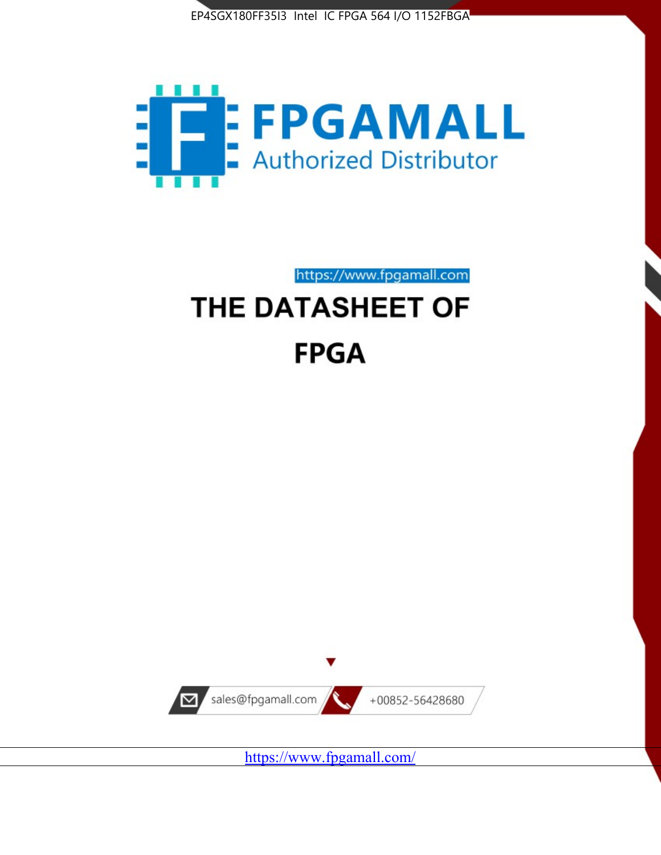



https://www.fpgamall.com

# THE DATASHEET OF **FPGA**



<https://www.fpgamall.com/>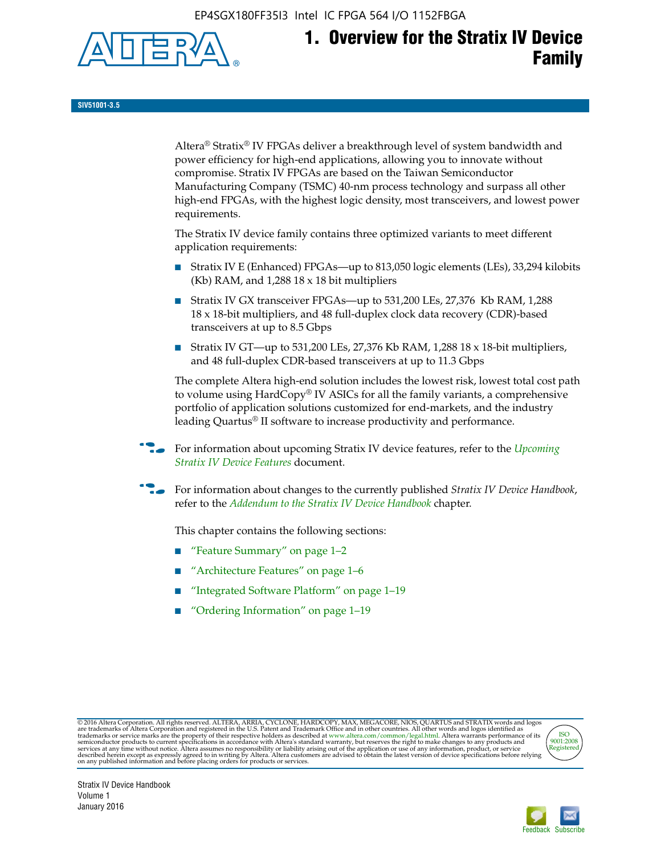EP4SGX180FF35I3 Intel IC FPGA 564 I/O 1152FBGA



# **1. Overview for the Stratix IV Device Family**

**SIV51001-3.5**

Altera® Stratix® IV FPGAs deliver a breakthrough level of system bandwidth and power efficiency for high-end applications, allowing you to innovate without compromise. Stratix IV FPGAs are based on the Taiwan Semiconductor Manufacturing Company (TSMC) 40-nm process technology and surpass all other high-end FPGAs, with the highest logic density, most transceivers, and lowest power requirements.

The Stratix IV device family contains three optimized variants to meet different application requirements:

- Stratix IV E (Enhanced) FPGAs—up to 813,050 logic elements (LEs), 33,294 kilobits (Kb) RAM, and 1,288 18 x 18 bit multipliers
- Stratix IV GX transceiver FPGAs—up to 531,200 LEs, 27,376 Kb RAM, 1,288 18 x 18-bit multipliers, and 48 full-duplex clock data recovery (CDR)-based transceivers at up to 8.5 Gbps
- Stratix IV GT—up to 531,200 LEs, 27,376 Kb RAM, 1,288 18 x 18-bit multipliers, and 48 full-duplex CDR-based transceivers at up to 11.3 Gbps

The complete Altera high-end solution includes the lowest risk, lowest total cost path to volume using HardCopy® IV ASICs for all the family variants, a comprehensive portfolio of application solutions customized for end-markets, and the industry leading Quartus® II software to increase productivity and performance.

f For information about upcoming Stratix IV device features, refer to the *[Upcoming](http://www.altera.com/literature/hb/stratix-iv/uf01001.pdf?GSA_pos=2&WT.oss_r=1&WT.oss=upcoming)  [Stratix IV Device Features](http://www.altera.com/literature/hb/stratix-iv/uf01001.pdf?GSA_pos=2&WT.oss_r=1&WT.oss=upcoming)* document.

f For information about changes to the currently published *Stratix IV Device Handbook*, refer to the *[Addendum to the Stratix IV Device Handbook](http://www.altera.com/literature/hb/stratix-iv/stx4_siv54002.pdf)* chapter.

This chapter contains the following sections:

- "Feature Summary" on page 1–2
- "Architecture Features" on page 1–6
- "Integrated Software Platform" on page 1–19
- "Ordering Information" on page 1–19

@2016 Altera Corporation. All rights reserved. ALTERA, ARRIA, CYCLONE, HARDCOPY, MAX, MEGACORE, NIOS, QUARTUS and STRATIX words and logos are trademarks of Altera Corporation and registered in the U.S. Patent and Trademark



Stratix IV Device Handbook Volume 1 January 2016

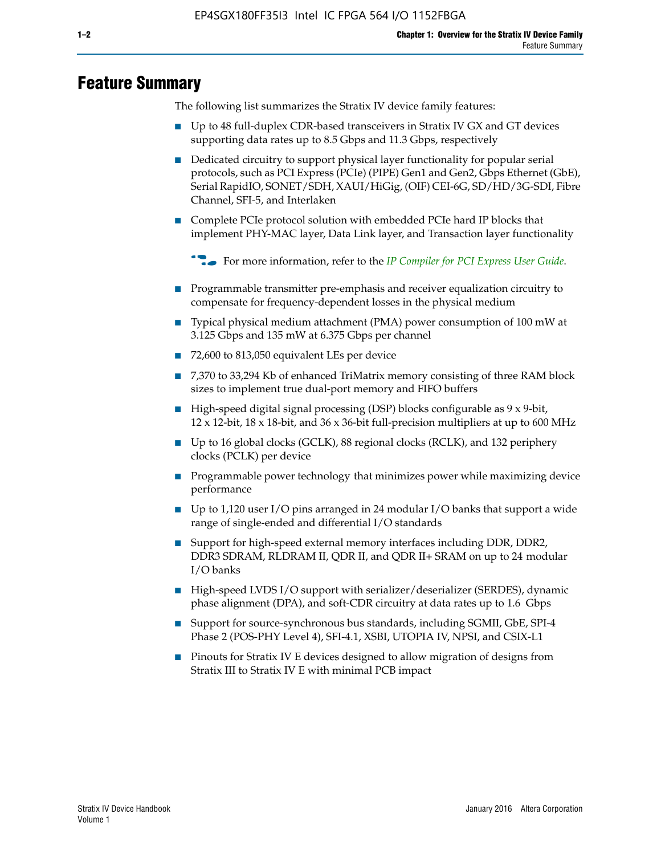## **Feature Summary**

The following list summarizes the Stratix IV device family features:

- Up to 48 full-duplex CDR-based transceivers in Stratix IV GX and GT devices supporting data rates up to 8.5 Gbps and 11.3 Gbps, respectively
- Dedicated circuitry to support physical layer functionality for popular serial protocols, such as PCI Express (PCIe) (PIPE) Gen1 and Gen2, Gbps Ethernet (GbE), Serial RapidIO, SONET/SDH, XAUI/HiGig, (OIF) CEI-6G, SD/HD/3G-SDI, Fibre Channel, SFI-5, and Interlaken
- Complete PCIe protocol solution with embedded PCIe hard IP blocks that implement PHY-MAC layer, Data Link layer, and Transaction layer functionality

**For more information, refer to the** *[IP Compiler for PCI Express User Guide](http://www.altera.com/literature/ug/ug_pci_express.pdf)***.** 

- Programmable transmitter pre-emphasis and receiver equalization circuitry to compensate for frequency-dependent losses in the physical medium
- Typical physical medium attachment (PMA) power consumption of 100 mW at 3.125 Gbps and 135 mW at 6.375 Gbps per channel
- 72,600 to 813,050 equivalent LEs per device
- 7,370 to 33,294 Kb of enhanced TriMatrix memory consisting of three RAM block sizes to implement true dual-port memory and FIFO buffers
- High-speed digital signal processing (DSP) blocks configurable as 9 x 9-bit,  $12 \times 12$ -bit,  $18 \times 18$ -bit, and  $36 \times 36$ -bit full-precision multipliers at up to 600 MHz
- Up to 16 global clocks (GCLK), 88 regional clocks (RCLK), and 132 periphery clocks (PCLK) per device
- Programmable power technology that minimizes power while maximizing device performance
- Up to 1,120 user I/O pins arranged in 24 modular I/O banks that support a wide range of single-ended and differential I/O standards
- Support for high-speed external memory interfaces including DDR, DDR2, DDR3 SDRAM, RLDRAM II, QDR II, and QDR II+ SRAM on up to 24 modular I/O banks
- High-speed LVDS I/O support with serializer/deserializer (SERDES), dynamic phase alignment (DPA), and soft-CDR circuitry at data rates up to 1.6 Gbps
- Support for source-synchronous bus standards, including SGMII, GbE, SPI-4 Phase 2 (POS-PHY Level 4), SFI-4.1, XSBI, UTOPIA IV, NPSI, and CSIX-L1
- Pinouts for Stratix IV E devices designed to allow migration of designs from Stratix III to Stratix IV E with minimal PCB impact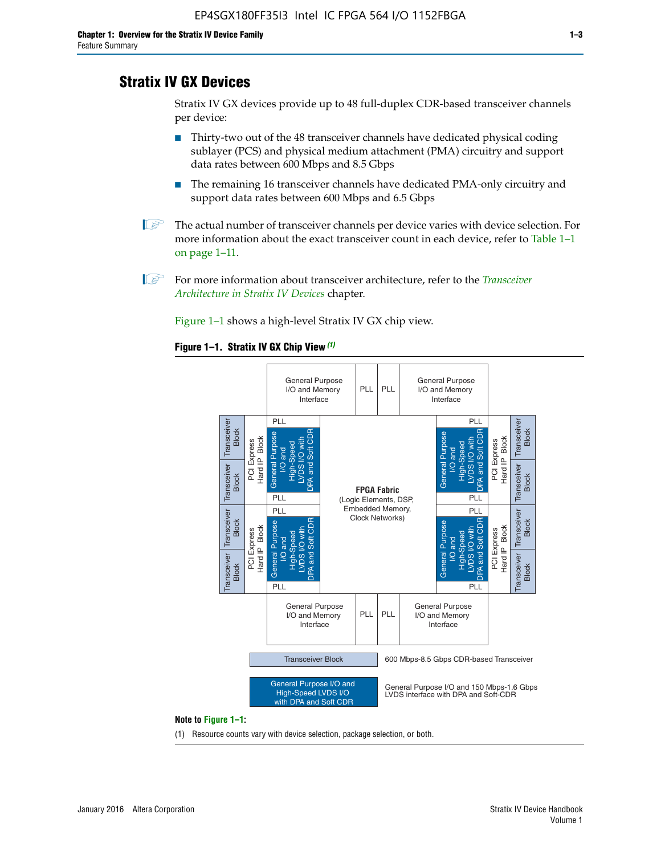## **Stratix IV GX Devices**

Stratix IV GX devices provide up to 48 full-duplex CDR-based transceiver channels per device:

- Thirty-two out of the 48 transceiver channels have dedicated physical coding sublayer (PCS) and physical medium attachment (PMA) circuitry and support data rates between 600 Mbps and 8.5 Gbps
- The remaining 16 transceiver channels have dedicated PMA-only circuitry and support data rates between 600 Mbps and 6.5 Gbps
- **1 The actual number of transceiver channels per device varies with device selection. For** more information about the exact transceiver count in each device, refer to Table 1–1 on page 1–11.
- 1 For more information about transceiver architecture, refer to the *[Transceiver](http://www.altera.com/literature/hb/stratix-iv/stx4_siv52001.pdf)  [Architecture in Stratix IV Devices](http://www.altera.com/literature/hb/stratix-iv/stx4_siv52001.pdf)* chapter.

Figure 1–1 shows a high-level Stratix IV GX chip view.

#### **Figure 1–1. Stratix IV GX Chip View** *(1)*



#### **Note to Figure 1–1:**

(1) Resource counts vary with device selection, package selection, or both.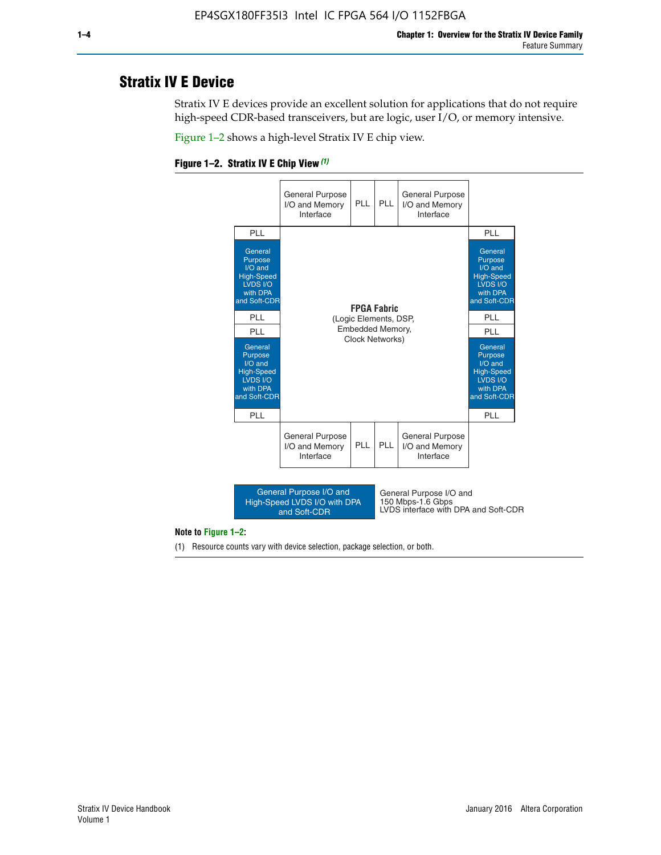## **Stratix IV E Device**

Stratix IV E devices provide an excellent solution for applications that do not require high-speed CDR-based transceivers, but are logic, user I/O, or memory intensive.

Figure 1–2 shows a high-level Stratix IV E chip view.





#### **Note to Figure 1–2:**

(1) Resource counts vary with device selection, package selection, or both.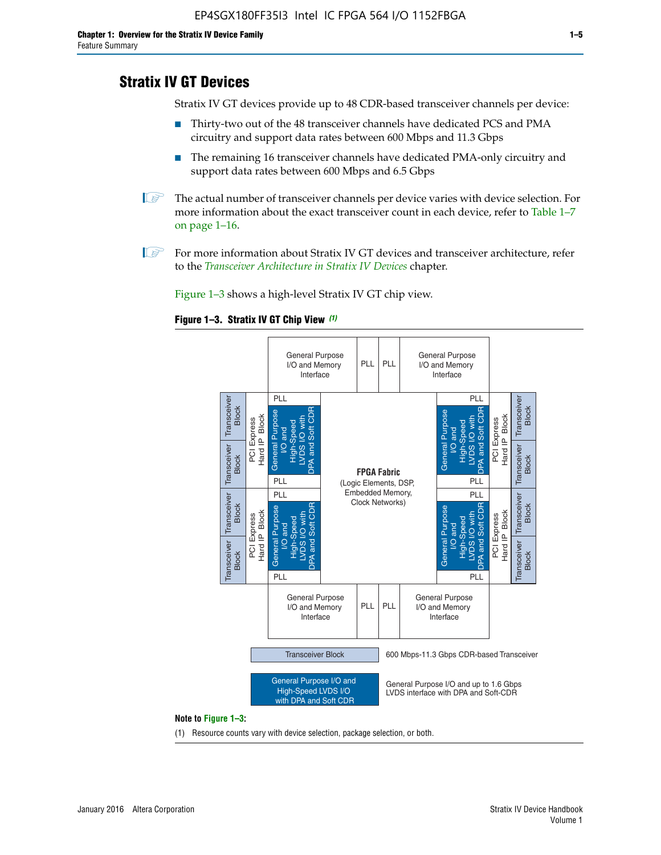## **Stratix IV GT Devices**

Stratix IV GT devices provide up to 48 CDR-based transceiver channels per device:

- Thirty-two out of the 48 transceiver channels have dedicated PCS and PMA circuitry and support data rates between 600 Mbps and 11.3 Gbps
- The remaining 16 transceiver channels have dedicated PMA-only circuitry and support data rates between 600 Mbps and 6.5 Gbps
- **1** The actual number of transceiver channels per device varies with device selection. For more information about the exact transceiver count in each device, refer to Table 1–7 on page 1–16.
- $\mathbb{I}$  For more information about Stratix IV GT devices and transceiver architecture, refer to the *[Transceiver Architecture in Stratix IV Devices](http://www.altera.com/literature/hb/stratix-iv/stx4_siv52001.pdf)* chapter.

Figure 1–3 shows a high-level Stratix IV GT chip view.

#### **Figure 1–3. Stratix IV GT Chip View** *(1)*



(1) Resource counts vary with device selection, package selection, or both.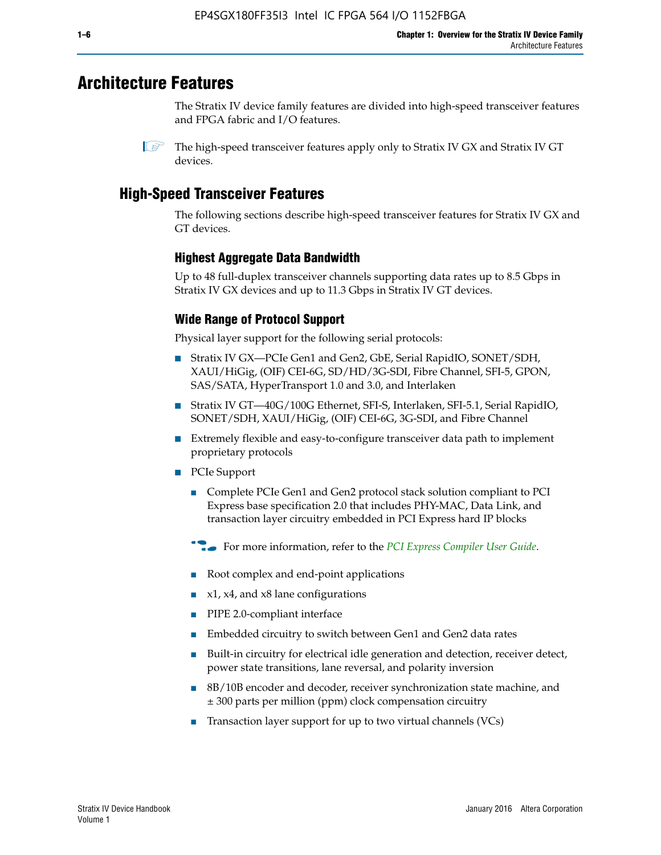## **Architecture Features**

The Stratix IV device family features are divided into high-speed transceiver features and FPGA fabric and I/O features.

 $\mathbb{I}$  The high-speed transceiver features apply only to Stratix IV GX and Stratix IV GT devices.

## **High-Speed Transceiver Features**

The following sections describe high-speed transceiver features for Stratix IV GX and GT devices.

## **Highest Aggregate Data Bandwidth**

Up to 48 full-duplex transceiver channels supporting data rates up to 8.5 Gbps in Stratix IV GX devices and up to 11.3 Gbps in Stratix IV GT devices.

## **Wide Range of Protocol Support**

Physical layer support for the following serial protocols:

- Stratix IV GX—PCIe Gen1 and Gen2, GbE, Serial RapidIO, SONET/SDH, XAUI/HiGig, (OIF) CEI-6G, SD/HD/3G-SDI, Fibre Channel, SFI-5, GPON, SAS/SATA, HyperTransport 1.0 and 3.0, and Interlaken
- Stratix IV GT—40G/100G Ethernet, SFI-S, Interlaken, SFI-5.1, Serial RapidIO, SONET/SDH, XAUI/HiGig, (OIF) CEI-6G, 3G-SDI, and Fibre Channel
- Extremely flexible and easy-to-configure transceiver data path to implement proprietary protocols
- PCIe Support
	- Complete PCIe Gen1 and Gen2 protocol stack solution compliant to PCI Express base specification 2.0 that includes PHY-MAC, Data Link, and transaction layer circuitry embedded in PCI Express hard IP blocks
	- **For more information, refer to the [PCI Express Compiler User Guide](http://www.altera.com/literature/ug/ug_pci_express.pdf).**
	- Root complex and end-point applications
	- $x1, x4,$  and  $x8$  lane configurations
	- PIPE 2.0-compliant interface
	- Embedded circuitry to switch between Gen1 and Gen2 data rates
	- Built-in circuitry for electrical idle generation and detection, receiver detect, power state transitions, lane reversal, and polarity inversion
	- 8B/10B encoder and decoder, receiver synchronization state machine, and ± 300 parts per million (ppm) clock compensation circuitry
	- Transaction layer support for up to two virtual channels (VCs)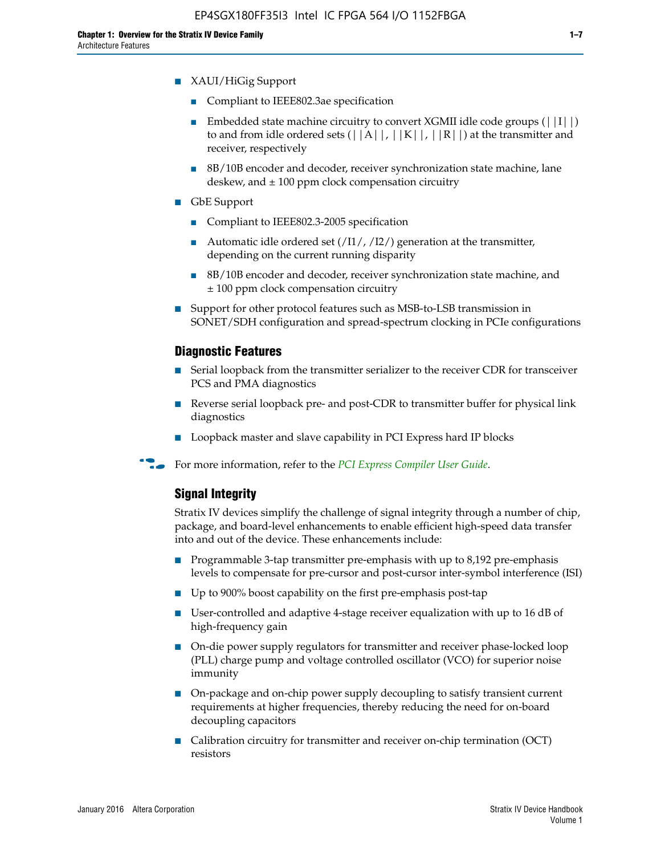- Compliant to IEEE802.3ae specification
- **■** Embedded state machine circuitry to convert XGMII idle code groups  $(|11|)$ to and from idle ordered sets  $(|A|, |K|, |R|)$  at the transmitter and receiver, respectively
- 8B/10B encoder and decoder, receiver synchronization state machine, lane deskew, and  $\pm$  100 ppm clock compensation circuitry
- GbE Support
	- Compliant to IEEE802.3-2005 specification
	- Automatic idle ordered set  $(111/112/1)$  generation at the transmitter, depending on the current running disparity
	- 8B/10B encoder and decoder, receiver synchronization state machine, and ± 100 ppm clock compensation circuitry
- Support for other protocol features such as MSB-to-LSB transmission in SONET/SDH configuration and spread-spectrum clocking in PCIe configurations

#### **Diagnostic Features**

- Serial loopback from the transmitter serializer to the receiver CDR for transceiver PCS and PMA diagnostics
- Reverse serial loopback pre- and post-CDR to transmitter buffer for physical link diagnostics
- Loopback master and slave capability in PCI Express hard IP blocks
- **For more information, refer to the** *[PCI Express Compiler User Guide](http://www.altera.com/literature/ug/ug_pci_express.pdf)***.**

### **Signal Integrity**

Stratix IV devices simplify the challenge of signal integrity through a number of chip, package, and board-level enhancements to enable efficient high-speed data transfer into and out of the device. These enhancements include:

- Programmable 3-tap transmitter pre-emphasis with up to 8,192 pre-emphasis levels to compensate for pre-cursor and post-cursor inter-symbol interference (ISI)
- Up to 900% boost capability on the first pre-emphasis post-tap
- User-controlled and adaptive 4-stage receiver equalization with up to 16 dB of high-frequency gain
- On-die power supply regulators for transmitter and receiver phase-locked loop (PLL) charge pump and voltage controlled oscillator (VCO) for superior noise immunity
- On-package and on-chip power supply decoupling to satisfy transient current requirements at higher frequencies, thereby reducing the need for on-board decoupling capacitors
- Calibration circuitry for transmitter and receiver on-chip termination (OCT) resistors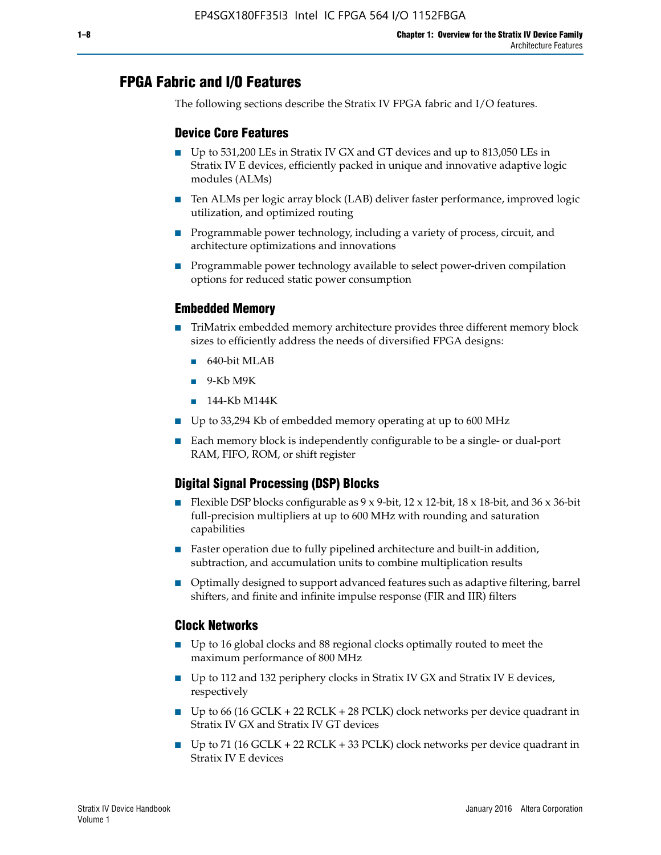## **FPGA Fabric and I/O Features**

The following sections describe the Stratix IV FPGA fabric and I/O features.

## **Device Core Features**

- Up to 531,200 LEs in Stratix IV GX and GT devices and up to 813,050 LEs in Stratix IV E devices, efficiently packed in unique and innovative adaptive logic modules (ALMs)
- Ten ALMs per logic array block (LAB) deliver faster performance, improved logic utilization, and optimized routing
- Programmable power technology, including a variety of process, circuit, and architecture optimizations and innovations
- Programmable power technology available to select power-driven compilation options for reduced static power consumption

#### **Embedded Memory**

- TriMatrix embedded memory architecture provides three different memory block sizes to efficiently address the needs of diversified FPGA designs:
	- 640-bit MLAB
	- 9-Kb M9K
	- 144-Kb M144K
- Up to 33,294 Kb of embedded memory operating at up to 600 MHz
- Each memory block is independently configurable to be a single- or dual-port RAM, FIFO, ROM, or shift register

## **Digital Signal Processing (DSP) Blocks**

- Flexible DSP blocks configurable as  $9 \times 9$ -bit,  $12 \times 12$ -bit,  $18 \times 18$ -bit, and  $36 \times 36$ -bit full-precision multipliers at up to 600 MHz with rounding and saturation capabilities
- Faster operation due to fully pipelined architecture and built-in addition, subtraction, and accumulation units to combine multiplication results
- Optimally designed to support advanced features such as adaptive filtering, barrel shifters, and finite and infinite impulse response (FIR and IIR) filters

#### **Clock Networks**

- Up to 16 global clocks and 88 regional clocks optimally routed to meet the maximum performance of 800 MHz
- Up to 112 and 132 periphery clocks in Stratix IV GX and Stratix IV E devices, respectively
- Up to 66 (16 GCLK + 22 RCLK + 28 PCLK) clock networks per device quadrant in Stratix IV GX and Stratix IV GT devices
- Up to 71 (16 GCLK + 22 RCLK + 33 PCLK) clock networks per device quadrant in Stratix IV E devices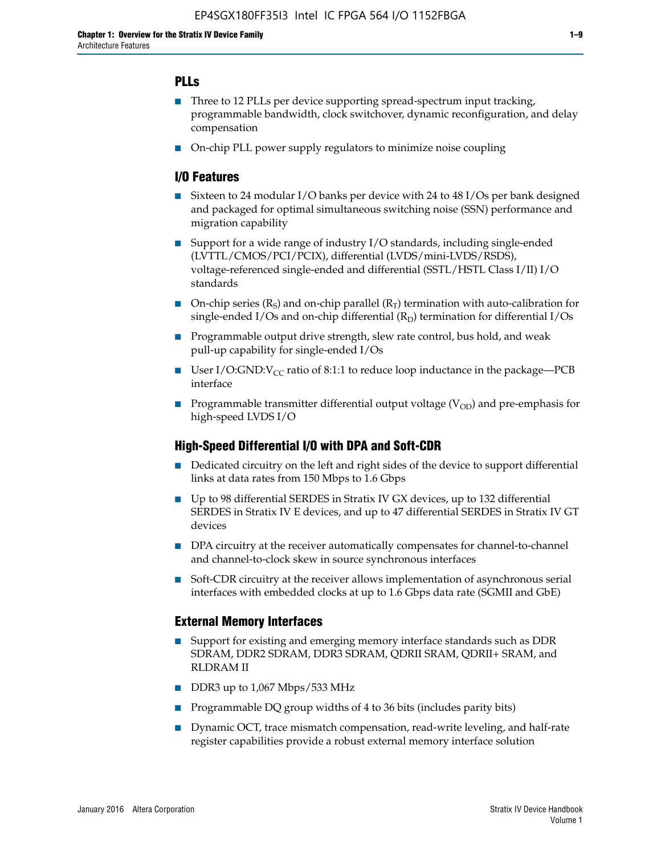## **PLLs**

- Three to 12 PLLs per device supporting spread-spectrum input tracking, programmable bandwidth, clock switchover, dynamic reconfiguration, and delay compensation
- On-chip PLL power supply regulators to minimize noise coupling

#### **I/O Features**

- Sixteen to 24 modular I/O banks per device with 24 to 48 I/Os per bank designed and packaged for optimal simultaneous switching noise (SSN) performance and migration capability
- Support for a wide range of industry I/O standards, including single-ended (LVTTL/CMOS/PCI/PCIX), differential (LVDS/mini-LVDS/RSDS), voltage-referenced single-ended and differential (SSTL/HSTL Class I/II) I/O standards
- **O**n-chip series  $(R_S)$  and on-chip parallel  $(R_T)$  termination with auto-calibration for single-ended I/Os and on-chip differential  $(R_D)$  termination for differential I/Os
- Programmable output drive strength, slew rate control, bus hold, and weak pull-up capability for single-ended I/Os
- User I/O:GND: $V_{CC}$  ratio of 8:1:1 to reduce loop inductance in the package—PCB interface
- **■** Programmable transmitter differential output voltage ( $V_{OD}$ ) and pre-emphasis for high-speed LVDS I/O

#### **High-Speed Differential I/O with DPA and Soft-CDR**

- Dedicated circuitry on the left and right sides of the device to support differential links at data rates from 150 Mbps to 1.6 Gbps
- Up to 98 differential SERDES in Stratix IV GX devices, up to 132 differential SERDES in Stratix IV E devices, and up to 47 differential SERDES in Stratix IV GT devices
- DPA circuitry at the receiver automatically compensates for channel-to-channel and channel-to-clock skew in source synchronous interfaces
- Soft-CDR circuitry at the receiver allows implementation of asynchronous serial interfaces with embedded clocks at up to 1.6 Gbps data rate (SGMII and GbE)

#### **External Memory Interfaces**

- Support for existing and emerging memory interface standards such as DDR SDRAM, DDR2 SDRAM, DDR3 SDRAM, QDRII SRAM, QDRII+ SRAM, and RLDRAM II
- DDR3 up to 1,067 Mbps/533 MHz
- Programmable DQ group widths of 4 to 36 bits (includes parity bits)
- Dynamic OCT, trace mismatch compensation, read-write leveling, and half-rate register capabilities provide a robust external memory interface solution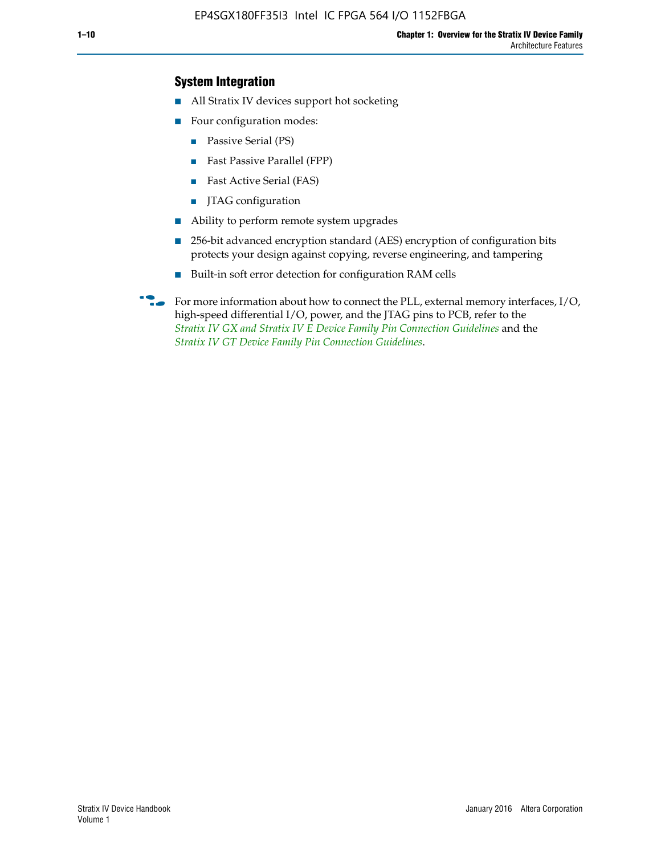## **System Integration**

- All Stratix IV devices support hot socketing
- Four configuration modes:
	- Passive Serial (PS)
	- Fast Passive Parallel (FPP)
	- Fast Active Serial (FAS)
	- JTAG configuration
- Ability to perform remote system upgrades
- 256-bit advanced encryption standard (AES) encryption of configuration bits protects your design against copying, reverse engineering, and tampering
- Built-in soft error detection for configuration RAM cells
- For more information about how to connect the PLL, external memory interfaces,  $I/O$ , high-speed differential I/O, power, and the JTAG pins to PCB, refer to the *[Stratix IV GX and Stratix IV E Device Family Pin Connection Guidelines](http://www.altera.com/literature/dp/stratix4/PCG-01005.pdf)* and the *[Stratix IV GT Device Family Pin Connection Guidelines](http://www.altera.com/literature/dp/stratix4/PCG-01006.pdf)*.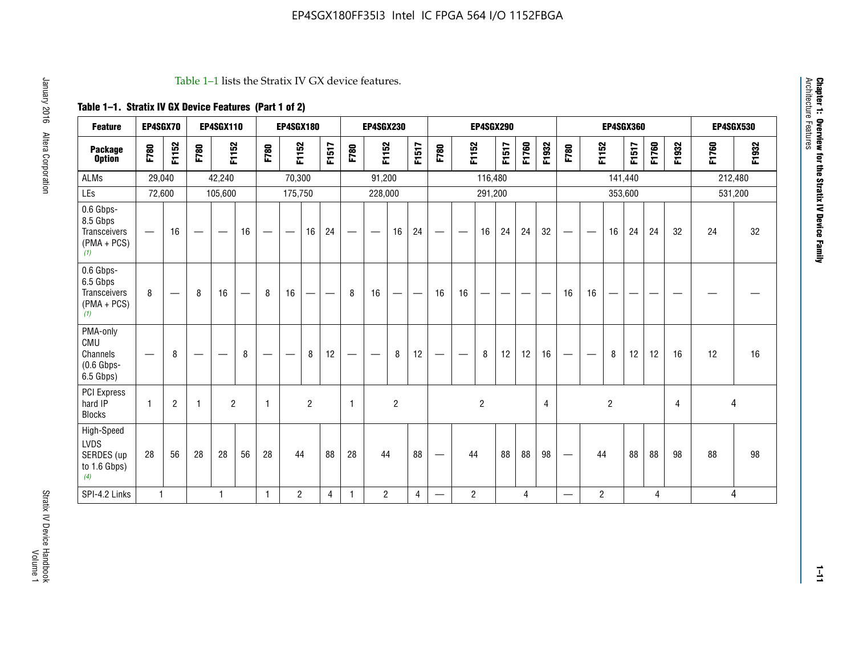#### Table 1–1 lists the Stratix IV GX device features.

## **Table 1–1. Stratix IV GX Device Features (Part 1 of 2)**

| <b>Feature</b>                                                       | EP4SGX70                        |                 |                                 | <b>EP4SGX110</b>  |    |                                | <b>EP4SGX180</b>                |                |       |              | <b>EP4SGX230</b>         |                |                                   |                                 |                | <b>EP4SGX290</b>         |                                |       |       |                          |                          |                | <b>EP4SGX360</b> |       |       |       | <b>EP4SGX530</b> |
|----------------------------------------------------------------------|---------------------------------|-----------------|---------------------------------|-------------------|----|--------------------------------|---------------------------------|----------------|-------|--------------|--------------------------|----------------|-----------------------------------|---------------------------------|----------------|--------------------------|--------------------------------|-------|-------|--------------------------|--------------------------|----------------|------------------|-------|-------|-------|------------------|
| <b>Package</b><br><b>Option</b>                                      | F780                            | F1152           | F780                            | F1152             |    | F780                           | F1152                           |                | F1517 | F780         | F1152                    |                | F1517                             | F780                            | F1152          |                          | F1517                          | F1760 | F1932 | F780                     | F1152                    |                | F1517            | F1760 | F1932 | F1760 | F1932            |
| ALMs                                                                 | 29,040                          |                 |                                 | 42,240            |    |                                | 70,300                          |                |       |              | 91,200                   |                |                                   |                                 |                | 116,480                  |                                |       |       |                          |                          |                | 141,440          |       |       |       | 212,480          |
| LEs                                                                  | 72,600                          |                 |                                 | 105,600           |    |                                | 175,750                         |                |       |              | 228,000                  |                |                                   |                                 |                | 291,200                  |                                |       |       |                          |                          |                | 353,600          |       |       |       | 531,200          |
| 0.6 Gbps-<br>8.5 Gbps<br><b>Transceivers</b><br>$(PMA + PCs)$<br>(1) | $\overline{\phantom{0}}$        | 16              | $\hspace{0.05cm}$               | $\hspace{0.05cm}$ | 16 | $\qquad \qquad \longleftarrow$ | $\hspace{0.1mm}-\hspace{0.1mm}$ | 16             | 24    |              |                          | 16             | 24                                | $\hspace{0.1mm}-\hspace{0.1mm}$ |                | 16                       | 24                             | 24    | 32    | $\overline{\phantom{0}}$ | $\overline{\phantom{a}}$ | 16             | 24               | 24    | 32    | 24    | 32               |
| 0.6 Gbps-<br>6.5 Gbps<br><b>Transceivers</b><br>$(PMA + PCs)$<br>(1) | 8                               | $\qquad \qquad$ | 8                               | 16                |    | 8                              | 16                              | —              | —     | 8            | 16                       | —              | $\overbrace{\phantom{123221111}}$ | 16                              | 16             | $\overline{\phantom{0}}$ | $\qquad \qquad \longleftarrow$ |       |       | 16                       | 16                       | --             |                  |       |       |       |                  |
| PMA-only<br>CMU<br>Channels<br>$(0.6$ Gbps-<br>6.5 Gbps)             | $\hspace{0.1mm}-\hspace{0.1mm}$ | 8               | $\hspace{0.1mm}-\hspace{0.1mm}$ |                   | 8  | $\qquad \qquad \longleftarrow$ | $\qquad \qquad \longleftarrow$  | 8              | 12    |              | $\overline{\phantom{m}}$ | 8              | 12                                | $\qquad \qquad \longleftarrow$  | -              | 8                        | 12                             | 12    | 16    | $\overline{\phantom{0}}$ | $\hspace{0.05cm}$        | 8              | 12               | 12    | 16    | 12    | 16               |
| <b>PCI Express</b><br>hard IP<br><b>Blocks</b>                       | $\mathbf{1}$                    | $\overline{2}$  | -1                              | $\overline{2}$    |    | 1                              |                                 | $\overline{2}$ |       | $\mathbf{1}$ |                          | $\overline{c}$ |                                   |                                 |                | $\overline{2}$           |                                |       | 4     |                          |                          | $\overline{2}$ |                  |       | 4     |       | 4                |
| High-Speed<br>LVDS<br>SERDES (up<br>to 1.6 Gbps)<br>(4)              | 28                              | 56              | 28                              | 28                | 56 | 28                             | 44                              |                | 88    | 28           | 44                       |                | 88                                | $\qquad \qquad \longleftarrow$  | 44             |                          | 88                             | 88    | 98    |                          | 44                       |                | 88               | 88    | 98    | 88    | 98               |
| SPI-4.2 Links                                                        | $\mathbf{1}$                    |                 |                                 | 1                 |    | $\mathbf{1}$                   | $\overline{c}$                  |                | 4     | $\mathbf{1}$ | $\overline{c}$           |                | $\overline{4}$                    | —                               | $\overline{2}$ |                          |                                | 4     |       | $\overline{\phantom{0}}$ | $\overline{2}$           |                |                  | 4     |       |       | 4                |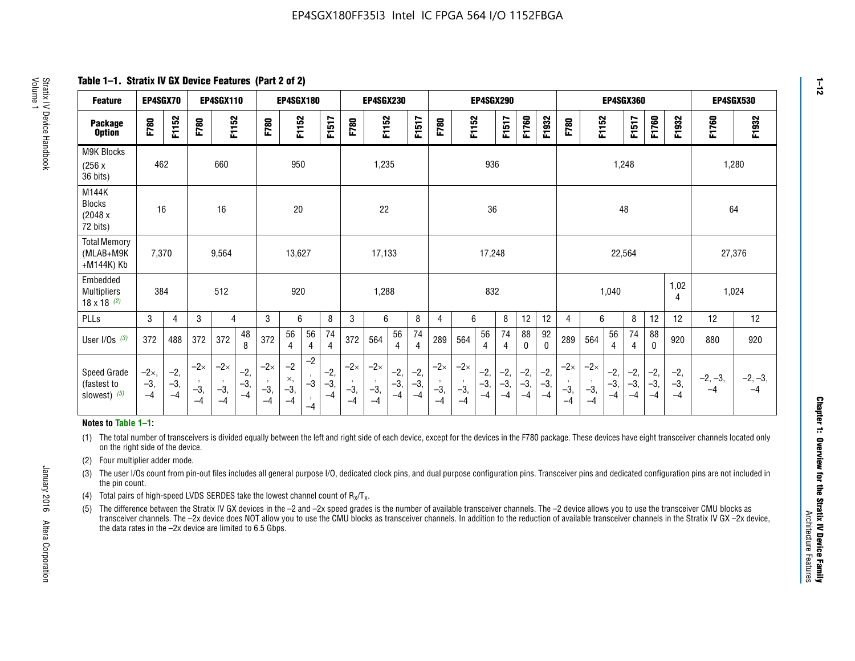**Table 1–1. Stratix IV GX Device Features (Part 2 of 2)**

| <b>Feature</b>                                       | EP4SGX70                |                        |                             | <b>EP4SGX110</b>            |                      |                             | <b>EP4SGX180</b>          |                      |                        |                             | <b>EP4SGX230</b>            |                      |                        |                             |                             | <b>EP4SGX290</b>       |                      |                        |                      |                             |                             |                        | <b>EP4SGX360</b>       |                        |                        | <b>EP4SGX530</b>  |                   |
|------------------------------------------------------|-------------------------|------------------------|-----------------------------|-----------------------------|----------------------|-----------------------------|---------------------------|----------------------|------------------------|-----------------------------|-----------------------------|----------------------|------------------------|-----------------------------|-----------------------------|------------------------|----------------------|------------------------|----------------------|-----------------------------|-----------------------------|------------------------|------------------------|------------------------|------------------------|-------------------|-------------------|
| <b>Package</b><br><b>Option</b>                      | F780                    | F1152                  | F780                        | F1152                       |                      | F780                        | F1152                     |                      | F1517                  | F780                        | F1152                       |                      | F1517                  | F780                        | F1152                       |                        | F1517                | F1760                  | F1932                | F780                        | F1152                       |                        | F1517                  | F1760                  | F1932                  | F1760             | F1932             |
| M9K Blocks<br>(256x)<br>36 bits)                     | 462                     |                        |                             | 660                         |                      |                             | 950                       |                      |                        |                             | 1,235                       |                      |                        |                             |                             | 936                    |                      |                        |                      |                             |                             | 1,248                  |                        |                        |                        | 1,280             |                   |
| M144K<br>Blocks<br>(2048 x<br>72 bits)               | 16                      |                        |                             | 16                          |                      |                             | 20                        |                      |                        |                             | 22                          |                      |                        |                             |                             | 36                     |                      |                        |                      |                             |                             | 48                     |                        |                        |                        | 64                |                   |
| <b>Total Memory</b><br>(MLAB+M9K<br>+M144K) Kb       | 7,370                   |                        |                             | 9,564                       |                      |                             | 13,627                    |                      |                        |                             | 17,133                      |                      |                        |                             |                             | 17,248                 |                      |                        |                      |                             |                             | 22,564                 |                        |                        |                        | 27,376            |                   |
| Embedded<br><b>Multipliers</b><br>$18 \times 18$ (2) | 384                     |                        |                             | 512                         |                      |                             | 920                       |                      |                        |                             | 1,288                       |                      |                        |                             |                             | 832                    |                      |                        |                      |                             |                             | 1,040                  |                        |                        | 1,02<br>4              | 1,024             |                   |
| PLLs                                                 | 3                       | 4                      | 3                           | 4                           |                      | 3                           | 6                         |                      | 8                      | 3                           | 6                           |                      | 8                      | $\overline{4}$              | 6                           |                        | 8                    | 12                     | 12                   | 4                           | 6                           |                        | 8                      | 12                     | 12                     | 12                | 12                |
| User I/Os $(3)$                                      | 372                     | 488                    | 372                         | 372                         | 48<br>8              | 372                         | 56<br>4                   | 56<br>4              | 74<br>4                | 372                         | 564                         | 56<br>4              | 74<br>$\overline{4}$   | 289                         | 564                         | 56<br>4                | 74<br>4              | 88<br>0                | 92<br>$\mathbf{0}$   | 289                         | 564                         | 56<br>4                | 74<br>4                | 88<br>0                | 920                    | 880               | 920               |
| Speed Grade<br>(fastest to<br>slowest) (5)           | $-2x,$<br>$-3,$<br>$-4$ | $-2,$<br>$-3,$<br>$-4$ | $-2\times$<br>$-3,$<br>$-4$ | $-2\times$<br>$-3,$<br>$-4$ | $-2,$<br>-3,<br>$-4$ | $-2\times$<br>$-3,$<br>$-4$ | $-2$<br>×,<br>$-3,$<br>-4 | $-2$<br>$-3$<br>$-4$ | $-2,$<br>$-3,$<br>$-4$ | $-2\times$<br>$-3,$<br>$-4$ | $-2\times$<br>$-3,$<br>$-4$ | $-2,$<br>-3,<br>$-4$ | $-2,$<br>$-3,$<br>$-4$ | $-2\times$<br>$-3,$<br>$-4$ | $-2\times$<br>$-3,$<br>$-4$ | $-2,$<br>$-3,$<br>$-4$ | $-2,$<br>-3,<br>$-4$ | $-2,$<br>$-3,$<br>$-4$ | $-2,$<br>-3,<br>$-4$ | $-2\times$<br>$-3,$<br>$-4$ | $-2\times$<br>$-3,$<br>$-4$ | $-2,$<br>$-3,$<br>$-4$ | $-2,$<br>$-3,$<br>$-4$ | $-2,$<br>$-3,$<br>$-4$ | $-2,$<br>$-3,$<br>$-4$ | $-2, -3,$<br>$-4$ | $-2, -3,$<br>$-4$ |

#### **Notes to Table 1–1:**

(1) The total number of transceivers is divided equally between the left and right side of each device, except for the devices in the F780 package. These devices have eight transceiver channels located only on the right side of the device.

- (2) Four multiplier adder mode.
- (3) The user I/Os count from pin-out files includes all general purpose I/O, dedicated clock pins, and dual purpose configuration pins. Transceiver pins and dedicated configuration pins are not included in the pin count.
- (4) Total pairs of high-speed LVDS SERDES take the lowest channel count of  $R_X/T_X$ .
- (5) The difference between the Stratix IV GX devices in the –2 and –2x speed grades is the number of available transceiver channels. The –2 device allows you to use the transceiver CMU blocks as transceiver channels. The –2x device does NOT allow you to use the CMU blocks as transceiver channels. In addition to the reduction of available transceiver channels in the Stratix IV GX –2x device, the data rates in the –2x device are limited to 6.5 Gbps.

January 2016 Altera Corporation

Altera Corporation

January 2016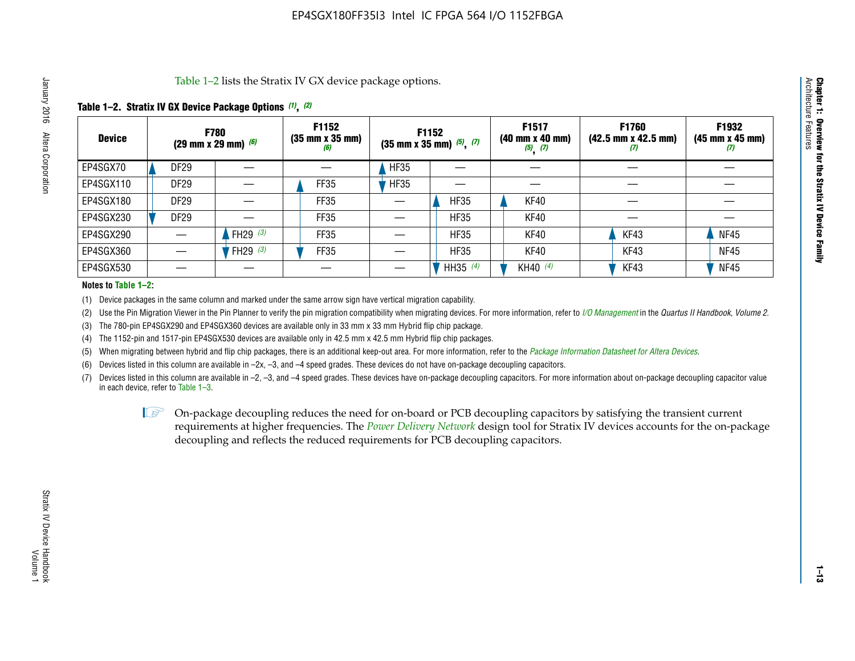Table 1–2 lists the Stratix IV GX device package options.

#### **Table 1–2. Stratix IV GX Device Package Options** *(1)***,** *(2)*

| <b>Device</b> | (29 mm x 29 mm) $(6)$ | <b>F780</b>          | F1152<br>$(35 \, \text{mm} \times 35 \, \text{mm})$<br>(6) |             | <b>F1152</b><br>$(35$ mm x 35 mm) $(5)$ , $(7)$ | F1517<br>(40 mm x 40 mm)<br>$(5)$ $(7)$ | <b>F1760</b><br>$(42.5 \text{ mm} \times 42.5 \text{ mm})$<br>W | F1932<br>$(45 \, \text{mm} \times 45 \, \text{mm})$<br>$\boldsymbol{v}$ |
|---------------|-----------------------|----------------------|------------------------------------------------------------|-------------|-------------------------------------------------|-----------------------------------------|-----------------------------------------------------------------|-------------------------------------------------------------------------|
| EP4SGX70      | DF <sub>29</sub>      |                      |                                                            | <b>HF35</b> |                                                 |                                         |                                                                 |                                                                         |
| EP4SGX110     | <b>DF29</b>           |                      | FF35                                                       | <b>HF35</b> |                                                 |                                         |                                                                 |                                                                         |
| EP4SGX180     | DF29                  |                      | FF35                                                       |             | <b>HF35</b>                                     | KF40                                    |                                                                 |                                                                         |
| EP4SGX230     | <b>DF29</b>           |                      | FF35                                                       |             | <b>HF35</b>                                     | KF40                                    |                                                                 |                                                                         |
| EP4SGX290     |                       | FH29 $(3)$           | FF35                                                       |             | <b>HF35</b>                                     | KF40                                    | KF43                                                            | <b>NF45</b>                                                             |
| EP4SGX360     |                       | 'FH29 <sup>(3)</sup> | FF35                                                       |             | <b>HF35</b>                                     | KF40                                    | KF43                                                            | <b>NF45</b>                                                             |
| EP4SGX530     |                       |                      |                                                            |             | HH35 $(4)$                                      | KH40 (4)                                | KF43                                                            | <b>NF45</b>                                                             |

#### **Notes to Table 1–2:**

(1) Device packages in the same column and marked under the same arrow sign have vertical migration capability.

(2) Use the Pin Migration Viewer in the Pin Planner to verify the pin migration compatibility when migrating devices. For more information, refer to *[I/O Management](http://www.altera.com/literature/hb/qts/qts_qii52013.pdf)* in the *Quartus II Handbook, Volume 2*.

(3) The 780-pin EP4SGX290 and EP4SGX360 devices are available only in 33 mm x 33 mm Hybrid flip chip package.

(4) The 1152-pin and 1517-pin EP4SGX530 devices are available only in 42.5 mm x 42.5 mm Hybrid flip chip packages.

(5) When migrating between hybrid and flip chip packages, there is an additional keep-out area. For more information, refer to the *[Package Information Datasheet for Altera Devices](http://www.altera.com/literature/ds/dspkg.pdf)*.

(6) Devices listed in this column are available in –2x, –3, and –4 speed grades. These devices do not have on-package decoupling capacitors.

(7) Devices listed in this column are available in –2, –3, and –4 speed grades. These devices have on-package decoupling capacitors. For more information about on-package decoupling capacitor value in each device, refer to Table 1–3.

 $\mathbb{L}$ s On-package decoupling reduces the need for on-board or PCB decoupling capacitors by satisfying the transient current requirements at higher frequencies. The *[Power Delivery Network](http://www.altera.com/literature/ug/pdn_tool_stxiv.zip)* design tool for Stratix IV devices accounts for the on-package decoupling and reflects the reduced requirements for PCB decoupling capacitors.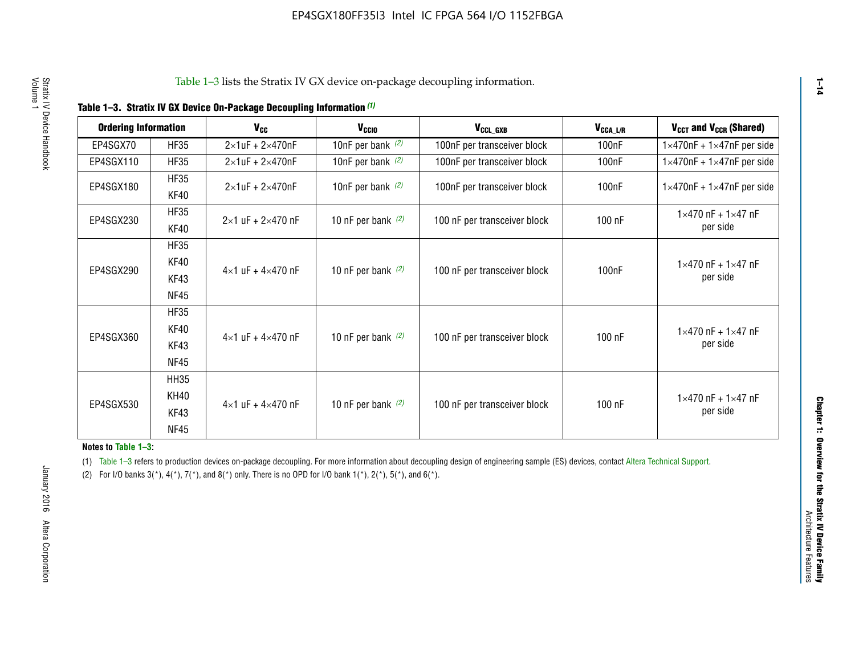| <b>Ordering Information</b> |                            | <b>V<sub>cc</sub></b>               | V <sub>ccio</sub>    | V <sub>CCL GXB</sub>         | V <sub>CCA_L/R</sub> | V <sub>CCT</sub> and V <sub>CCR</sub> (Shared)   |
|-----------------------------|----------------------------|-------------------------------------|----------------------|------------------------------|----------------------|--------------------------------------------------|
| EP4SGX70                    | <b>HF35</b>                | $2\times1$ uF + $2\times470$ nF     | 10nF per bank $(2)$  | 100nF per transceiver block  | 100 <sub>n</sub> F   | $1 \times 470$ nF + $1 \times 47$ nF per side    |
| EP4SGX110                   | <b>HF35</b>                | $2\times1$ uF + $2\times470$ nF     | 10nF per bank $(2)$  | 100nF per transceiver block  | 100 <sub>n</sub> F   | $1\times470$ nF + $1\times47$ nF per side        |
| EP4SGX180                   | <b>HF35</b><br>KF40        | $2\times1$ uF + $2\times470$ nF     | 10nF per bank $(2)$  | 100nF per transceiver block  | 100 <sub>n</sub> F   | $1 \times 470$ nF + $1 \times 47$ nF per side    |
| EP4SGX230                   | <b>HF35</b><br>KF40        | $2 \times 1$ uF + $2 \times 470$ nF | 10 nF per bank $(2)$ | 100 nF per transceiver block | 100 nF               | $1 \times 470$ nF + $1 \times 47$ nF<br>per side |
| EP4SGX290                   | <b>HF35</b><br><b>KF40</b> |                                     |                      |                              |                      | $1 \times 470$ nF + $1 \times 47$ nF             |
|                             | KF43<br><b>NF45</b>        | $4 \times 1$ uF + $4 \times 470$ nF | 10 nF per bank $(2)$ | 100 nF per transceiver block | 100nF                | per side                                         |
|                             | <b>HF35</b><br>KF40        |                                     |                      |                              |                      | $1 \times 470$ nF + $1 \times 47$ nF             |
| EP4SGX360                   | KF43<br><b>NF45</b>        | $4 \times 1$ uF + $4 \times 470$ nF | 10 nF per bank $(2)$ | 100 nF per transceiver block | 100 nF               | per side                                         |
|                             | <b>HH35</b>                |                                     |                      |                              |                      |                                                  |
| EP4SGX530                   | <b>KH40</b><br>KF43        | $4 \times 1$ uF + $4 \times 470$ nF | 10 nF per bank $(2)$ | 100 nF per transceiver block | 100 nF               | $1 \times 470$ nF + $1 \times 47$ nF<br>per side |
|                             | <b>NF45</b>                |                                     |                      |                              |                      |                                                  |

**Notes to Table 1–3:**

(1) Table 1-3 refers to production devices on-package decoupling. For more information about decoupling design of engineering sample (ES) devices, contact [Altera Technical Support](http://mysupport.altera.com/eservice/login.asp).

(2) For I/O banks  $3(*)$ ,  $4(*)$ ,  $7(*)$ , and  $8(*)$  only. There is no OPD for I/O bank  $1(*)$ ,  $2(*)$ ,  $5(*)$ , and  $6(*)$ .

**1–14**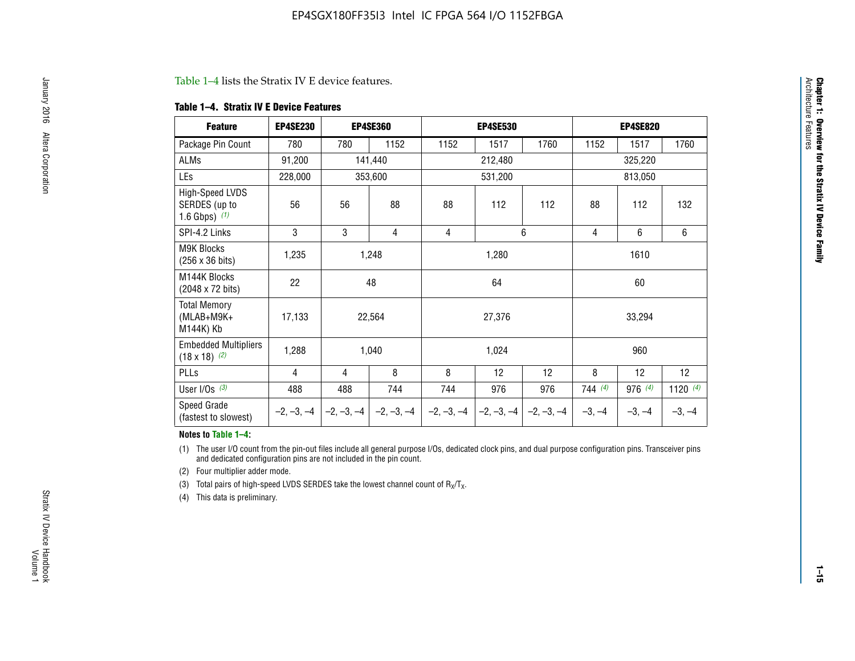#### Table 1–4 lists the Stratix IV E device features.

#### **Table 1–4. Stratix IV E Device Features**

| <b>Feature</b>                                      | <b>EP4SE230</b> |     | <b>EP4SE360</b>                          |              | <b>EP4SE530</b> |              |          | <b>EP4SE820</b> |            |  |
|-----------------------------------------------------|-----------------|-----|------------------------------------------|--------------|-----------------|--------------|----------|-----------------|------------|--|
| Package Pin Count                                   | 780             | 780 | 1152                                     | 1152         | 1517            | 1760         | 1152     | 1517            | 1760       |  |
| ALMs                                                | 91,200          |     | 141,440                                  |              | 212,480         |              |          | 325,220         |            |  |
| LEs                                                 | 228,000         |     | 353,600                                  |              | 531,200         |              |          | 813,050         |            |  |
| High-Speed LVDS<br>SERDES (up to<br>1.6 Gbps) $(1)$ | 56              | 56  | 88                                       | 88           | 112             | 112          | 88       | 112             | 132        |  |
| SPI-4.2 Links                                       | 3               | 3   | 4                                        | 4            |                 | 6            | 4        | 6               | 6          |  |
| <b>M9K Blocks</b><br>(256 x 36 bits)                | 1,235           |     | 1,248                                    |              | 1,280           |              |          | 1610            |            |  |
| M144K Blocks<br>(2048 x 72 bits)                    | 22              |     | 48                                       |              | 64              |              | 60       |                 |            |  |
| <b>Total Memory</b><br>$(MLAB+M9K+$<br>M144K) Kb    | 17,133          |     | 22,564                                   |              | 27,376          |              |          | 33,294          |            |  |
| <b>Embedded Multipliers</b><br>$(18 \times 18)$ (2) | 1,288           |     | 1,040                                    |              | 1,024           |              |          | 960             |            |  |
| PLLs                                                | 4               | 4   | 8                                        | 8            | 12              | 12           | 8        | 12              | 12         |  |
| User I/Os $(3)$                                     | 488             | 488 | 744                                      | 744          | 976             | 976          | 744(4)   | 976 (4)         | 1120 $(4)$ |  |
| Speed Grade<br>(fastest to slowest)                 |                 |     | $-2, -3, -4$ $ -2, -3, -4$ $ -2, -3, -4$ | $-2, -3, -4$ | $-2, -3, -4$    | $-2, -3, -4$ | $-3, -4$ | $-3, -4$        | $-3, -4$   |  |

#### **Notes to Table 1–4:**

(1) The user I/O count from the pin-out files include all general purpose I/Os, dedicated clock pins, and dual purpose configuration pins. Transceiver pins and dedicated configuration pins are not included in the pin count.

(2) Four multiplier adder mode.

(3) Total pairs of high-speed LVDS SERDES take the lowest channel count of  $R_X/T_X$ .

(4) This data is preliminary.

**Chapter 1: Overview for the Stratix IV Device Family**

**Chapter 1: Overview for the Stratix IV Device Family**<br>Architecture Faatures

Architecture Features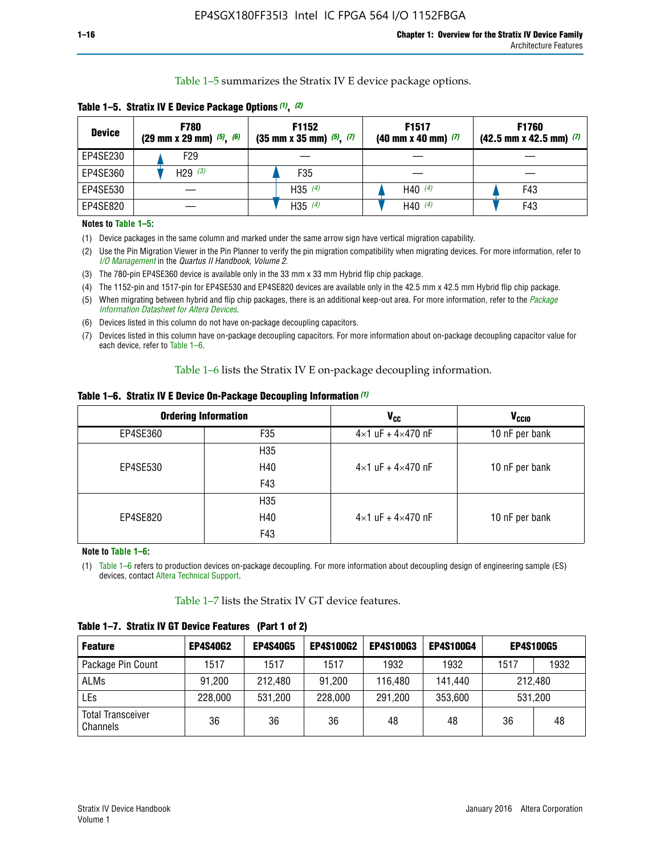Table 1–5 summarizes the Stratix IV E device package options.

| <b>Device</b> | <b>F780</b><br>$(29 \text{ mm} \times 29 \text{ mm})$ $(5)$ , $(6)$ | F1152<br>$(35 \text{ mm} \times 35 \text{ mm})$ $(5)$ , $(7)$ | F <sub>1517</sub><br>$(40 \text{ mm} \times 40 \text{ mm})$ (7) | <b>F1760</b><br>$(42.5$ mm x 42.5 mm) $(7)$ |  |  |
|---------------|---------------------------------------------------------------------|---------------------------------------------------------------|-----------------------------------------------------------------|---------------------------------------------|--|--|
| EP4SE230      | F29                                                                 |                                                               |                                                                 |                                             |  |  |
| EP4SE360      | H <sub>29</sub> $(3)$                                               | F35                                                           |                                                                 |                                             |  |  |
| EP4SE530      |                                                                     | H35 $(4)$                                                     | H40 $(4)$                                                       | F43                                         |  |  |
| EP4SE820      |                                                                     | H35 $(4)$                                                     | H40 $(4)$                                                       | F43                                         |  |  |

**Table 1–5. Stratix IV E Device Package Options** *(1)***,** *(2)*

#### **Notes to Table 1–5:**

(1) Device packages in the same column and marked under the same arrow sign have vertical migration capability.

(2) Use the Pin Migration Viewer in the Pin Planner to verify the pin migration compatibility when migrating devices. For more information, refer to *[I/O Management](http://www.altera.com/literature/hb/qts/qts_qii52013.pdf)* in the *Quartus II Handbook, Volume 2*.

(3) The 780-pin EP4SE360 device is available only in the 33 mm x 33 mm Hybrid flip chip package.

(4) The 1152-pin and 1517-pin for EP4SE530 and EP4SE820 devices are available only in the 42.5 mm x 42.5 mm Hybrid flip chip package.

(5) When migrating between hybrid and flip chip packages, there is an additional keep-out area. For more information, refer to the *[Package](http://www.altera.com/literature/ds/dspkg.pdf)  [Information Datasheet for Altera Devices](http://www.altera.com/literature/ds/dspkg.pdf)*.

(6) Devices listed in this column do not have on-package decoupling capacitors.

(7) Devices listed in this column have on-package decoupling capacitors. For more information about on-package decoupling capacitor value for each device, refer to Table 1–6.

Table 1–6 lists the Stratix IV E on-package decoupling information.

| Table 1–6. Stratix IV E Device On-Package Decoupling Information (1) |  |  |  |  |  |
|----------------------------------------------------------------------|--|--|--|--|--|
|----------------------------------------------------------------------|--|--|--|--|--|

|          | <b>Ordering Information</b> | V <sub>cc</sub>                     | <b>V<sub>CCIO</sub></b> |
|----------|-----------------------------|-------------------------------------|-------------------------|
| EP4SE360 | F35                         | $4 \times 1$ uF + $4 \times 470$ nF | 10 nF per bank          |
|          | H <sub>35</sub>             |                                     |                         |
| EP4SE530 | H40                         | $4 \times 1$ uF + $4 \times 470$ nF | 10 nF per bank          |
|          | F43                         |                                     |                         |
|          | H <sub>35</sub>             |                                     |                         |
| EP4SE820 | H40                         | $4 \times 1$ uF + $4 \times 470$ nF | 10 nF per bank          |
|          | F43                         |                                     |                         |

**Note to Table 1–6:**

(1) Table 1–6 refers to production devices on-package decoupling. For more information about decoupling design of engineering sample (ES) devices, contact [Altera Technical Support](http://mysupport.altera.com/eservice/login.asp).

Table 1–7 lists the Stratix IV GT device features.

| <b>Feature</b>                       | <b>EP4S40G2</b> | <b>EP4S40G5</b> | <b>EP4S100G2</b> | <b>EP4S100G3</b> | <b>EP4S100G4</b> | <b>EP4S100G5</b> |         |
|--------------------------------------|-----------------|-----------------|------------------|------------------|------------------|------------------|---------|
| Package Pin Count                    | 1517            | 1517            | 1517             | 1932             | 1932             | 1517             | 1932    |
| <b>ALMs</b>                          | 91,200          | 212,480         | 91,200           | 116,480          | 141,440          | 212.480          |         |
| LEs                                  | 228,000         | 531,200         | 228,000          | 291,200          | 353,600          |                  | 531,200 |
| <b>Total Transceiver</b><br>Channels | 36              | 36              | 36               | 48               | 48               | 36               | 48      |

**Table 1–7. Stratix IV GT Device Features (Part 1 of 2)**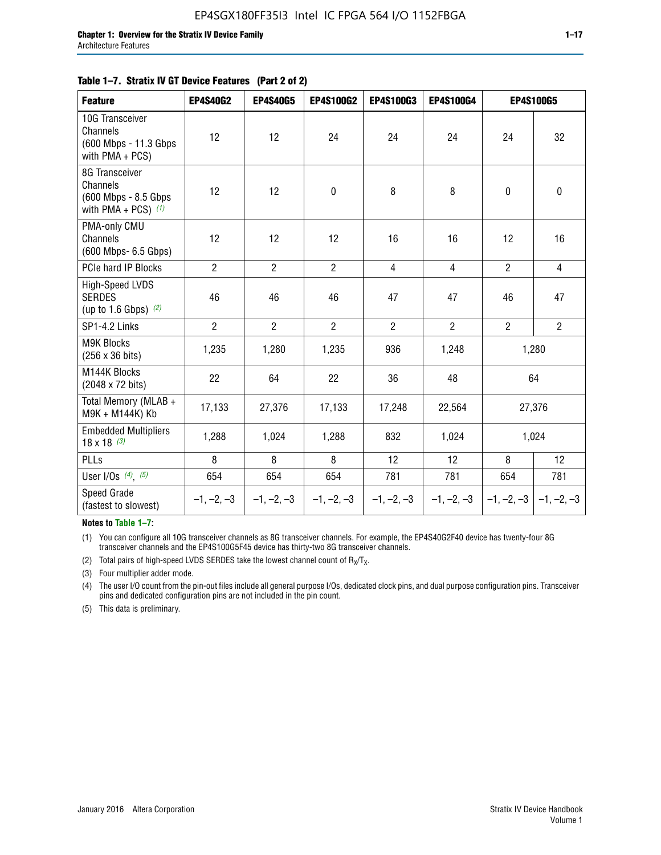#### **Table 1–7. Stratix IV GT Device Features (Part 2 of 2)**

| <b>Feature</b>                                                              | <b>EP4S40G2</b> | <b>EP4S40G5</b> | <b>EP4S100G2</b> | <b>EP4S100G3</b> | <b>EP4S100G4</b> |                           | <b>EP4S100G5</b> |
|-----------------------------------------------------------------------------|-----------------|-----------------|------------------|------------------|------------------|---------------------------|------------------|
| 10G Transceiver<br>Channels<br>(600 Mbps - 11.3 Gbps<br>with PMA + PCS)     | 12              | 12              | 24               | 24               | 24               | 24                        | 32               |
| 8G Transceiver<br>Channels<br>(600 Mbps - 8.5 Gbps<br>with PMA + PCS) $(1)$ | 12              | 12              | $\pmb{0}$        | 8                | 8                | $\mathbf 0$               | $\mathbf 0$      |
| PMA-only CMU<br>Channels<br>(600 Mbps- 6.5 Gbps)                            | 12              | 12              | 12               | 16               | 16               | 12                        | 16               |
| PCIe hard IP Blocks                                                         | $\overline{2}$  | $\overline{2}$  | $\overline{2}$   | $\overline{4}$   | $\overline{4}$   | $\overline{2}$            | $\overline{4}$   |
| <b>High-Speed LVDS</b><br><b>SERDES</b><br>(up to 1.6 Gbps) $(2)$           | 46              | 46              | 46               | 47               | 47               | 46                        | 47               |
| SP1-4.2 Links                                                               | $\overline{2}$  | $\overline{2}$  | $\overline{2}$   | $\overline{2}$   | $\overline{2}$   | $\overline{2}$            | $2^{\circ}$      |
| <b>M9K Blocks</b><br>(256 x 36 bits)                                        | 1,235           | 1,280           | 1,235            | 936              | 1,248            |                           | 1,280            |
| M144K Blocks<br>(2048 x 72 bits)                                            | 22              | 64              | 22               | 36               | 48               |                           | 64               |
| Total Memory (MLAB +<br>M9K + M144K) Kb                                     | 17,133          | 27,376          | 17,133           | 17,248           | 22,564           |                           | 27,376           |
| <b>Embedded Multipliers</b><br>$18 \times 18^{(3)}$                         | 1,288           | 1,024           | 1,288            | 832              | 1,024            |                           | 1,024            |
| PLLs                                                                        | 8               | 8               | 8                | 12               | 12               | 8                         | 12               |
| User I/Os $(4)$ , $(5)$                                                     | 654             | 654             | 654              | 781              | 781              | 654                       | 781              |
| Speed Grade<br>(fastest to slowest)                                         | $-1, -2, -3$    | $-1, -2, -3$    | $-1, -2, -3$     | $-1, -2, -3$     | $-1, -2, -3$     | $-1, -2, -3$ $-1, -2, -3$ |                  |

**Notes to Table 1–7:**

(1) You can configure all 10G transceiver channels as 8G transceiver channels. For example, the EP4S40G2F40 device has twenty-four 8G transceiver channels and the EP4S100G5F45 device has thirty-two 8G transceiver channels.

(2) Total pairs of high-speed LVDS SERDES take the lowest channel count of  $R_X/T_X$ .

(3) Four multiplier adder mode.

(4) The user I/O count from the pin-out files include all general purpose I/Os, dedicated clock pins, and dual purpose configuration pins. Transceiver pins and dedicated configuration pins are not included in the pin count.

(5) This data is preliminary.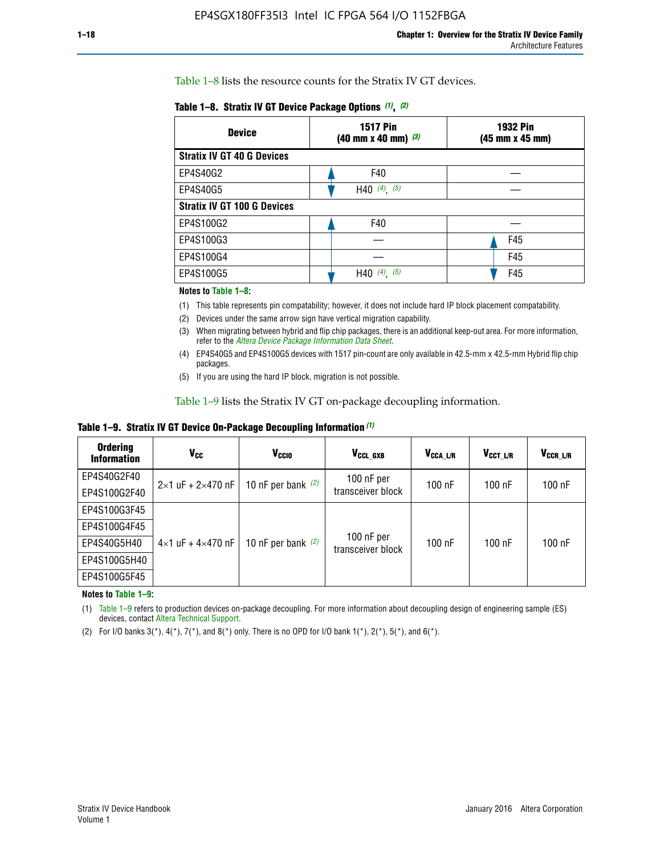Table 1–8 lists the resource counts for the Stratix IV GT devices.

| <b>Device</b>                      | <b>1517 Pin</b><br><b>1932 Pin</b><br>$(40 \text{ mm} \times 40 \text{ mm})$ (3)<br>(45 mm x 45 mm) |     |  |
|------------------------------------|-----------------------------------------------------------------------------------------------------|-----|--|
| <b>Stratix IV GT 40 G Devices</b>  |                                                                                                     |     |  |
| EP4S40G2                           | F40                                                                                                 |     |  |
| EP4S40G5                           | H40 $(4)$ , $(5)$                                                                                   |     |  |
| <b>Stratix IV GT 100 G Devices</b> |                                                                                                     |     |  |
| EP4S100G2                          | F40                                                                                                 |     |  |
| EP4S100G3                          |                                                                                                     | F45 |  |
| EP4S100G4                          |                                                                                                     | F45 |  |
| EP4S100G5                          | H40 $(4)$ $(5)$                                                                                     | F45 |  |

#### **Notes to Table 1–8:**

(1) This table represents pin compatability; however, it does not include hard IP block placement compatability.

- (2) Devices under the same arrow sign have vertical migration capability.
- (3) When migrating between hybrid and flip chip packages, there is an additional keep-out area. For more information, refer to the *[Altera Device Package Information Data Sheet](http://www.altera.com/literature/ds/dspkg.pdf)*.
- (4) EP4S40G5 and EP4S100G5 devices with 1517 pin-count are only available in 42.5-mm x 42.5-mm Hybrid flip chip packages.
- (5) If you are using the hard IP block, migration is not possible.

Table 1–9 lists the Stratix IV GT on-package decoupling information.

**Table 1–9. Stratix IV GT Device On-Package Decoupling Information** *(1)*

| <b>Ordering</b><br><b>Information</b> | Vcc                                 | <b>V<sub>CCIO</sub></b> | V <sub>CCL GXB</sub>            | V <sub>CCA L/R</sub> | V <sub>CCT L/R</sub> | V <sub>CCR_L/R</sub> |
|---------------------------------------|-------------------------------------|-------------------------|---------------------------------|----------------------|----------------------|----------------------|
| EP4S40G2F40                           | $2 \times 1$ uF + $2 \times 470$ nF | 10 nF per bank $(2)$    | 100 nF per<br>transceiver block | $100$ nF             | $100$ nF             | $100$ nF             |
| EP4S100G2F40                          |                                     |                         |                                 |                      |                      |                      |
| EP4S100G3F45                          |                                     | 10 nF per bank $(2)$    | 100 nF per<br>transceiver block | $100$ nF             | $100$ nF             | $100$ nF             |
| EP4S100G4F45                          |                                     |                         |                                 |                      |                      |                      |
| EP4S40G5H40                           | $4\times1$ uF + $4\times470$ nF     |                         |                                 |                      |                      |                      |
| EP4S100G5H40                          |                                     |                         |                                 |                      |                      |                      |
| EP4S100G5F45                          |                                     |                         |                                 |                      |                      |                      |

**Notes to Table 1–9:**

(1) Table 1–9 refers to production devices on-package decoupling. For more information about decoupling design of engineering sample (ES) devices, contact [Altera Technical Support](http://mysupport.altera.com/eservice/login.asp).

(2) For I/O banks  $3(*)$ ,  $4(*)$ ,  $7(*)$ , and  $8(*)$  only. There is no OPD for I/O bank  $1(*)$ ,  $2(*)$ ,  $5(*)$ , and  $6(*)$ .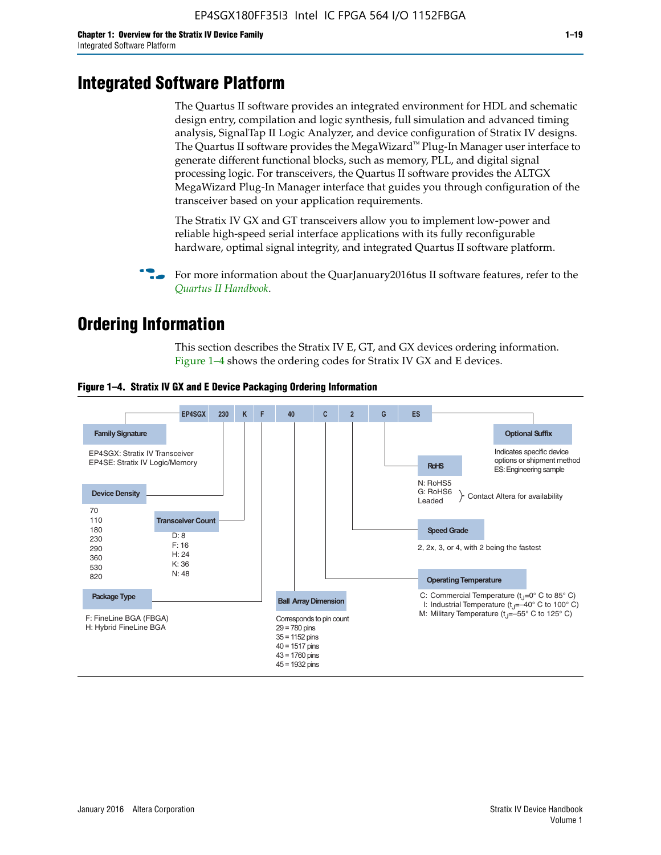# **Integrated Software Platform**

The Quartus II software provides an integrated environment for HDL and schematic design entry, compilation and logic synthesis, full simulation and advanced timing analysis, SignalTap II Logic Analyzer, and device configuration of Stratix IV designs. The Quartus II software provides the MegaWizard<sup> $M$ </sup> Plug-In Manager user interface to generate different functional blocks, such as memory, PLL, and digital signal processing logic. For transceivers, the Quartus II software provides the ALTGX MegaWizard Plug-In Manager interface that guides you through configuration of the transceiver based on your application requirements.

The Stratix IV GX and GT transceivers allow you to implement low-power and reliable high-speed serial interface applications with its fully reconfigurable hardware, optimal signal integrity, and integrated Quartus II software platform.

For more information about the QuarJanuary2016tus II software features, refer to the *[Quartus II Handbook](http://www.altera.com/literature/lit-qts.jsp)*.

# **Ordering Information**

This section describes the Stratix IV E, GT, and GX devices ordering information. Figure 1–4 shows the ordering codes for Stratix IV GX and E devices.



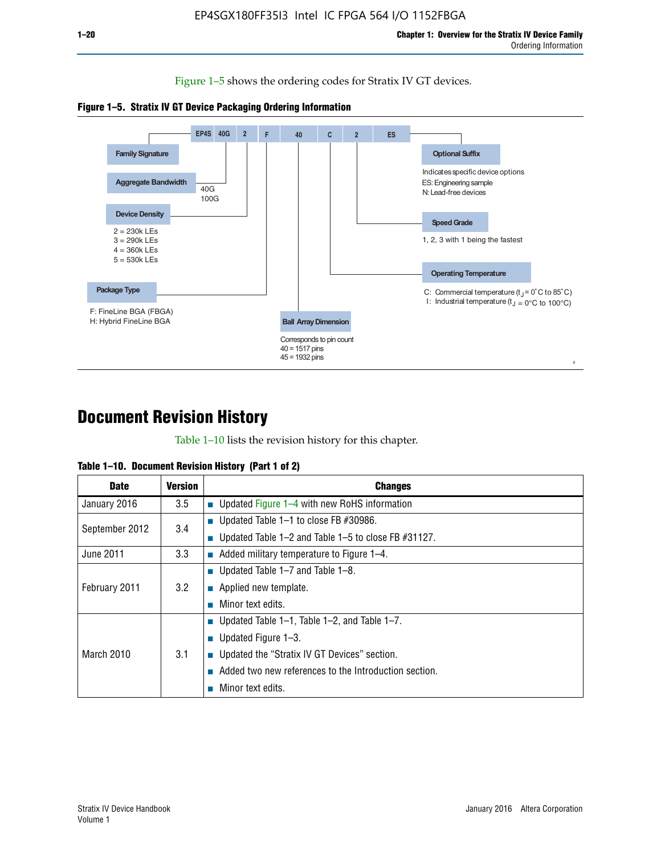Figure 1–5 shows the ordering codes for Stratix IV GT devices.





# **Document Revision History**

Table 1–10 lists the revision history for this chapter.

| Table 1–10. Document Revision History (Part 1 of 2) |  |  |  |  |  |
|-----------------------------------------------------|--|--|--|--|--|
|-----------------------------------------------------|--|--|--|--|--|

| <b>Date</b>       | Version | <b>Changes</b>                                         |
|-------------------|---------|--------------------------------------------------------|
| January 2016      | 3.5     | <b>Updated Figure 1–4 with new RoHS information</b>    |
| September 2012    | 3.4     | ■ Updated Table 1–1 to close FB $#30986$ .             |
|                   |         | Updated Table 1–2 and Table 1–5 to close FB $#31127$ . |
| June 2011         | 3.3     | Added military temperature to Figure 1–4.              |
| February 2011     | 3.2     | ■ Updated Table 1–7 and Table 1–8.                     |
|                   |         | $\blacksquare$ Applied new template.                   |
|                   |         | Minor text edits.                                      |
|                   |         | <b>Updated Table 1–1, Table 1–2, and Table 1–7.</b>    |
| <b>March 2010</b> | 3.1     | ■ Updated Figure $1-3$ .                               |
|                   |         | ■ Updated the "Stratix IV GT Devices" section.         |
|                   |         | Added two new references to the Introduction section.  |
|                   |         | Minor text edits.                                      |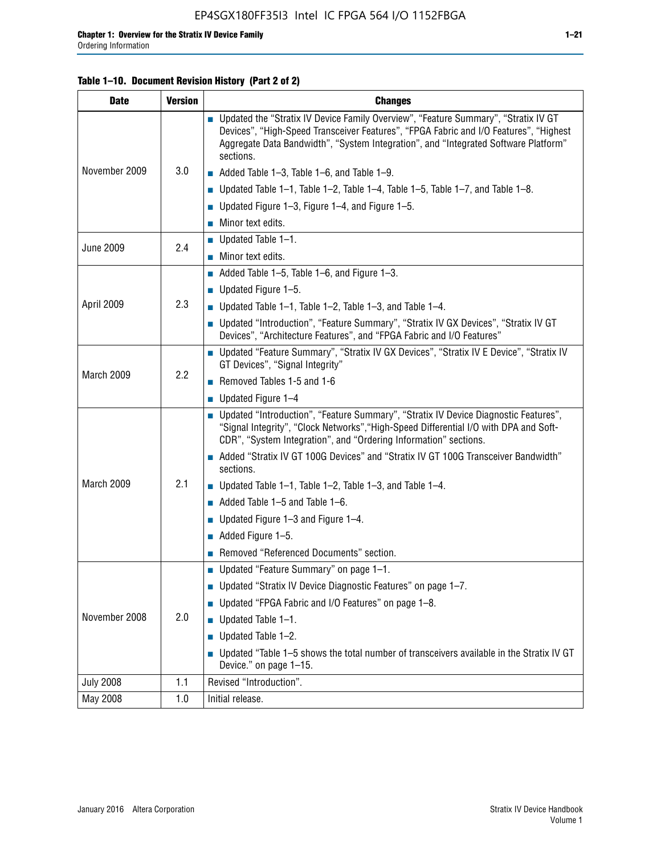#### **Table 1–10. Document Revision History (Part 2 of 2)**

| <b>Date</b>      | <b>Version</b> | <b>Changes</b>                                                                                                                                                                                                                                                                    |  |  |
|------------------|----------------|-----------------------------------------------------------------------------------------------------------------------------------------------------------------------------------------------------------------------------------------------------------------------------------|--|--|
|                  |                | ■ Updated the "Stratix IV Device Family Overview", "Feature Summary", "Stratix IV GT<br>Devices", "High-Speed Transceiver Features", "FPGA Fabric and I/O Features", "Highest<br>Aggregate Data Bandwidth", "System Integration", and "Integrated Software Platform"<br>sections. |  |  |
| November 2009    | 3.0            | $\blacksquare$ Added Table 1-3, Table 1-6, and Table 1-9.                                                                                                                                                                                                                         |  |  |
|                  |                | $\blacksquare$ Updated Table 1-1, Table 1-2, Table 1-4, Table 1-5, Table 1-7, and Table 1-8.                                                                                                                                                                                      |  |  |
|                  |                | ■ Updated Figure 1–3, Figure 1–4, and Figure 1–5.                                                                                                                                                                                                                                 |  |  |
|                  |                | $\blacksquare$ Minor text edits.                                                                                                                                                                                                                                                  |  |  |
|                  |                | $\blacksquare$ Updated Table 1-1.                                                                                                                                                                                                                                                 |  |  |
| <b>June 2009</b> | 2.4            | Minor text edits.                                                                                                                                                                                                                                                                 |  |  |
|                  |                | $\blacksquare$ Added Table 1–5, Table 1–6, and Figure 1–3.                                                                                                                                                                                                                        |  |  |
|                  |                | $\blacksquare$ Updated Figure 1-5.                                                                                                                                                                                                                                                |  |  |
| April 2009       | 2.3            | Updated Table $1-1$ , Table $1-2$ , Table $1-3$ , and Table $1-4$ .                                                                                                                                                                                                               |  |  |
|                  |                | ■ Updated "Introduction", "Feature Summary", "Stratix IV GX Devices", "Stratix IV GT<br>Devices", "Architecture Features", and "FPGA Fabric and I/O Features"                                                                                                                     |  |  |
|                  | 2.2            | ■ Updated "Feature Summary", "Stratix IV GX Devices", "Stratix IV E Device", "Stratix IV<br>GT Devices", "Signal Integrity"                                                                                                                                                       |  |  |
| March 2009       |                | Removed Tables 1-5 and 1-6                                                                                                                                                                                                                                                        |  |  |
|                  |                | Updated Figure 1-4                                                                                                                                                                                                                                                                |  |  |
|                  |                | ■ Updated "Introduction", "Feature Summary", "Stratix IV Device Diagnostic Features",<br>"Signal Integrity", "Clock Networks", "High-Speed Differential I/O with DPA and Soft-<br>CDR", "System Integration", and "Ordering Information" sections.                                |  |  |
|                  |                | Added "Stratix IV GT 100G Devices" and "Stratix IV GT 100G Transceiver Bandwidth"<br>sections.                                                                                                                                                                                    |  |  |
| March 2009       | 2.1            | <b>Updated Table 1–1, Table 1–2, Table 1–3, and Table 1–4.</b>                                                                                                                                                                                                                    |  |  |
|                  |                | $\blacksquare$ Added Table 1-5 and Table 1-6.                                                                                                                                                                                                                                     |  |  |
|                  |                | ■ Updated Figure $1-3$ and Figure $1-4$ .                                                                                                                                                                                                                                         |  |  |
|                  |                | $\blacksquare$ Added Figure 1-5.                                                                                                                                                                                                                                                  |  |  |
|                  |                | Removed "Referenced Documents" section.                                                                                                                                                                                                                                           |  |  |
|                  |                | Updated "Feature Summary" on page 1-1.                                                                                                                                                                                                                                            |  |  |
|                  |                | ■ Updated "Stratix IV Device Diagnostic Features" on page 1-7.                                                                                                                                                                                                                    |  |  |
| November 2008    |                | Updated "FPGA Fabric and I/O Features" on page 1-8.                                                                                                                                                                                                                               |  |  |
|                  | 2.0            | $\blacksquare$ Updated Table 1-1.                                                                                                                                                                                                                                                 |  |  |
|                  |                | Updated Table 1-2.                                                                                                                                                                                                                                                                |  |  |
|                  |                | Updated "Table 1-5 shows the total number of transceivers available in the Stratix IV GT<br>Device." on page 1-15.                                                                                                                                                                |  |  |
| <b>July 2008</b> | 1.1            | Revised "Introduction".                                                                                                                                                                                                                                                           |  |  |
| May 2008         | 1.0            | Initial release.                                                                                                                                                                                                                                                                  |  |  |